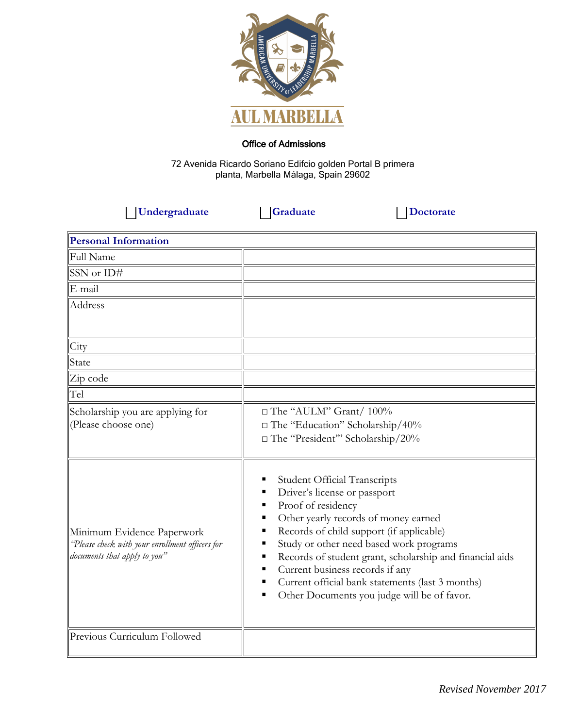

## Office of Admissions

72 Avenida Ricardo Soriano Edifcio golden Portal B primera planta, Marbella Málaga, Spain 29602

 **Undergraduate Graduate Doctorate** 

| <b>Personal Information</b>                                                                                   |                                                                                                                                                                                                                                                                                                                                                                                                                                                     |
|---------------------------------------------------------------------------------------------------------------|-----------------------------------------------------------------------------------------------------------------------------------------------------------------------------------------------------------------------------------------------------------------------------------------------------------------------------------------------------------------------------------------------------------------------------------------------------|
| <b>Full Name</b>                                                                                              |                                                                                                                                                                                                                                                                                                                                                                                                                                                     |
| SSN or ID#                                                                                                    |                                                                                                                                                                                                                                                                                                                                                                                                                                                     |
| E-mail                                                                                                        |                                                                                                                                                                                                                                                                                                                                                                                                                                                     |
| Address                                                                                                       |                                                                                                                                                                                                                                                                                                                                                                                                                                                     |
| City                                                                                                          |                                                                                                                                                                                                                                                                                                                                                                                                                                                     |
| State                                                                                                         |                                                                                                                                                                                                                                                                                                                                                                                                                                                     |
| Zip code                                                                                                      |                                                                                                                                                                                                                                                                                                                                                                                                                                                     |
| Tel                                                                                                           |                                                                                                                                                                                                                                                                                                                                                                                                                                                     |
| Scholarship you are applying for<br>(Please choose one)                                                       | □ The "AULM" Grant/ 100%<br>$\Box$ The "Education" Scholarship/40%<br>$\Box$ The "President" Scholarship/20%                                                                                                                                                                                                                                                                                                                                        |
| Minimum Evidence Paperwork<br>'Please check with your enrollment officers for<br>documents that apply to you" | <b>Student Official Transcripts</b><br>п<br>Driver's license or passport<br>٠<br>Proof of residency<br>٠<br>Other yearly records of money earned<br>п<br>Records of child support (if applicable)<br>٠<br>Study or other need based work programs<br>Records of student grant, scholarship and financial aids<br>Current business records if any<br>Current official bank statements (last 3 months)<br>Other Documents you judge will be of favor. |
| Previous Curriculum Followed                                                                                  |                                                                                                                                                                                                                                                                                                                                                                                                                                                     |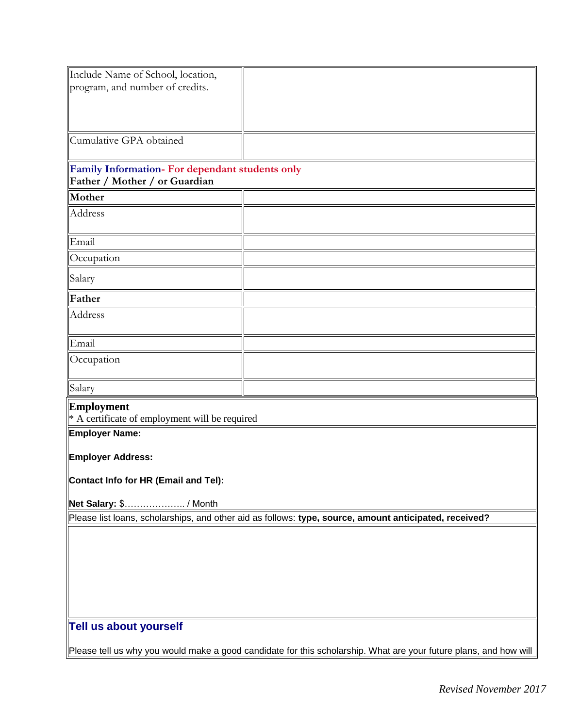| Include Name of School, location,               |                                                                                                        |  |
|-------------------------------------------------|--------------------------------------------------------------------------------------------------------|--|
| program, and number of credits.                 |                                                                                                        |  |
|                                                 |                                                                                                        |  |
|                                                 |                                                                                                        |  |
|                                                 |                                                                                                        |  |
| Cumulative GPA obtained                         |                                                                                                        |  |
|                                                 |                                                                                                        |  |
| Family Information- For dependant students only |                                                                                                        |  |
| Father / Mother / or Guardian                   |                                                                                                        |  |
| Mother                                          |                                                                                                        |  |
| <b>Address</b>                                  |                                                                                                        |  |
|                                                 |                                                                                                        |  |
| Email                                           |                                                                                                        |  |
| Occupation                                      |                                                                                                        |  |
|                                                 |                                                                                                        |  |
| Salary                                          |                                                                                                        |  |
| Father                                          |                                                                                                        |  |
| Address                                         |                                                                                                        |  |
|                                                 |                                                                                                        |  |
| Email                                           |                                                                                                        |  |
| Occupation                                      |                                                                                                        |  |
|                                                 |                                                                                                        |  |
| Salary                                          |                                                                                                        |  |
|                                                 |                                                                                                        |  |
| <b>Employment</b>                               |                                                                                                        |  |
| * A certificate of employment will be required  |                                                                                                        |  |
| <b>Employer Name:</b>                           |                                                                                                        |  |
| <b>Employer Address:</b>                        |                                                                                                        |  |
|                                                 |                                                                                                        |  |
| Contact Info for HR (Email and Tel):            |                                                                                                        |  |
|                                                 |                                                                                                        |  |
| Net Salary: \$ / Month                          |                                                                                                        |  |
|                                                 | Please list loans, scholarships, and other aid as follows: type, source, amount anticipated, received? |  |
|                                                 |                                                                                                        |  |
|                                                 |                                                                                                        |  |
|                                                 |                                                                                                        |  |
|                                                 |                                                                                                        |  |
|                                                 |                                                                                                        |  |
|                                                 |                                                                                                        |  |
| Tell us about yourself                          |                                                                                                        |  |
|                                                 |                                                                                                        |  |
|                                                 |                                                                                                        |  |

Please tell us why you would make a good candidate for this scholarship. What are your future plans, and how will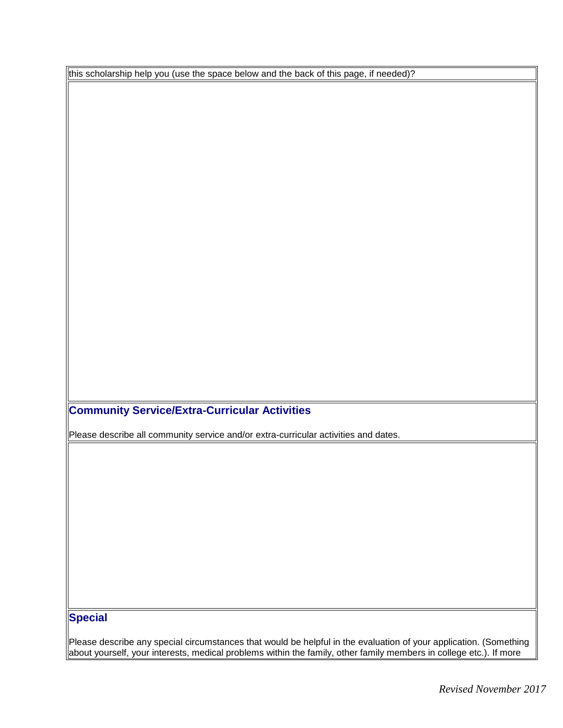this scholarship help you (use the space below and the back of this page, if needed)?

## **Community Service/Extra-Curricular Activities**

Please describe all community service and/or extra-curricular activities and dates.

## **Special**

Please describe any special circumstances that would be helpful in the evaluation of your application. (Something about yourself, your interests, medical problems within the family, other family members in college etc.). If more